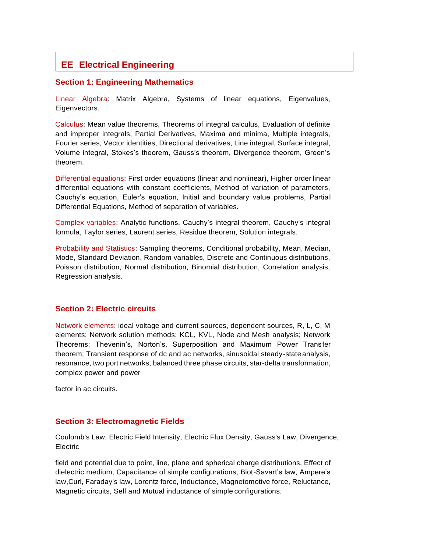# **EE Electrical Engineering**

# **Section 1: Engineering Mathematics**

Linear Algebra: Matrix Algebra, Systems of linear equations, Eigenvalues, Eigenvectors.

Calculus: Mean value theorems, Theorems of integral calculus, Evaluation of definite and improper integrals, Partial Derivatives, Maxima and minima, Multiple integrals, Fourier series, Vector identities, Directional derivatives, Line integral, Surface integral, Volume integral, Stokes's theorem, Gauss's theorem, Divergence theorem, Green's theorem.

Differential equations: First order equations (linear and nonlinear), Higher order linear differential equations with constant coefficients, Method of variation of parameters, Cauchy's equation, Euler's equation, Initial and boundary value problems, Partial Differential Equations, Method of separation of variables.

Complex variables: Analytic functions, Cauchy's integral theorem, Cauchy's integral formula, Taylor series, Laurent series, Residue theorem, Solution integrals.

Probability and Statistics: Sampling theorems, Conditional probability, Mean, Median, Mode, Standard Deviation, Random variables, Discrete and Continuous distributions, Poisson distribution, Normal distribution, Binomial distribution, Correlation analysis, Regression analysis.

## **Section 2: Electric circuits**

Network elements: ideal voltage and current sources, dependent sources, R, L, C, M elements; Network solution methods: KCL, KVL, Node and Mesh analysis; Network Theorems: Thevenin's, Norton's, Superposition and Maximum Power Transfer theorem; Transient response of dc and ac networks, sinusoidal steady-state analysis, resonance, two port networks, balanced three phase circuits, star-delta transformation, complex power and power

factor in ac circuits.

# **Section 3: Electromagnetic Fields**

Coulomb's Law, Electric Field Intensity, Electric Flux Density, Gauss's Law, Divergence, Electric

field and potential due to point, line, plane and spherical charge distributions, Effect of dielectric medium, Capacitance of simple configurations, Biot-Savart's law, Ampere's law,Curl, Faraday's law, Lorentz force, Inductance, Magnetomotive force, Reluctance, Magnetic circuits, Self and Mutual inductance of simple configurations.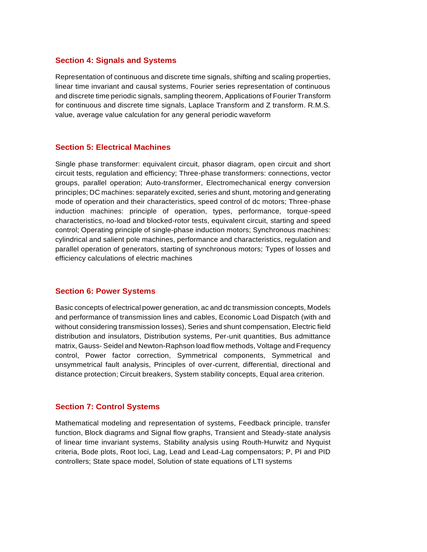#### **Section 4: Signals and Systems**

Representation of continuous and discrete time signals, shifting and scaling properties, linear time invariant and causal systems, Fourier series representation of continuous and discrete time periodic signals, sampling theorem, Applications of Fourier Transform for continuous and discrete time signals, Laplace Transform and Z transform. R.M.S. value, average value calculation for any general periodic waveform

#### **Section 5: Electrical Machines**

Single phase transformer: equivalent circuit, phasor diagram, open circuit and short circuit tests, regulation and efficiency; Three-phase transformers: connections, vector groups, parallel operation; Auto-transformer, Electromechanical energy conversion principles; DC machines: separately excited, series and shunt, motoring and generating mode of operation and their characteristics, speed control of dc motors; Three-phase induction machines: principle of operation, types, performance, torque-speed characteristics, no-load and blocked-rotor tests, equivalent circuit, starting and speed control; Operating principle of single-phase induction motors; Synchronous machines: cylindrical and salient pole machines, performance and characteristics, regulation and parallel operation of generators, starting of synchronous motors; Types of losses and efficiency calculations of electric machines

## **Section 6: Power Systems**

Basic concepts of electrical power generation, ac and dc transmission concepts, Models and performance of transmission lines and cables, Economic Load Dispatch (with and without considering transmission losses), Series and shunt compensation, Electric field distribution and insulators, Distribution systems, Per-unit quantities, Bus admittance matrix, Gauss- Seidel and Newton-Raphson load flow methods, Voltage and Frequency control, Power factor correction, Symmetrical components, Symmetrical and unsymmetrical fault analysis, Principles of over-current, differential, directional and distance protection; Circuit breakers, System stability concepts, Equal area criterion.

## **Section 7: Control Systems**

Mathematical modeling and representation of systems, Feedback principle, transfer function, Block diagrams and Signal flow graphs, Transient and Steady-state analysis of linear time invariant systems, Stability analysis using Routh-Hurwitz and Nyquist criteria, Bode plots, Root loci, Lag, Lead and Lead-Lag compensators; P, PI and PID controllers; State space model, Solution of state equations of LTI systems